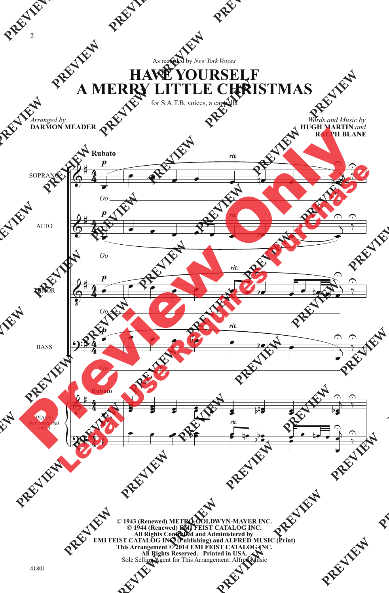As recorded by *New York Voices*

## **HAVE YOURSELF A MERRY LITTLE CHRISTMAS**

for S.A.T.B. voices, a cappella

*Arranged by* **DARMON MEADER**

*Words and Music by* **HUGH MARTIN** *and* **RALPH BLANE**



**© 1943 (Renewed) METRO-GOLDWYN-MAYER INC. © 1944 (Renewed) EMI FEIST CATALOG INC. All Rights Controlled and Administered by EMI FEIST CATALOG INC. (Publishing) and ALFRED MUSIC (Print) This Arrangement © 2014 EMI FEIST CATALOG INC. All Rights Reserved. Printed in USA.** Sole Selling Agent for This Arrangement: Alfred Music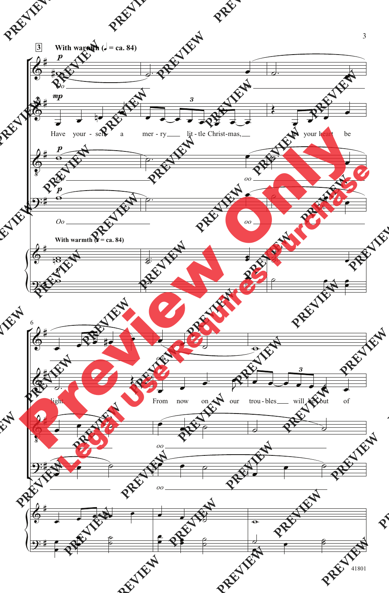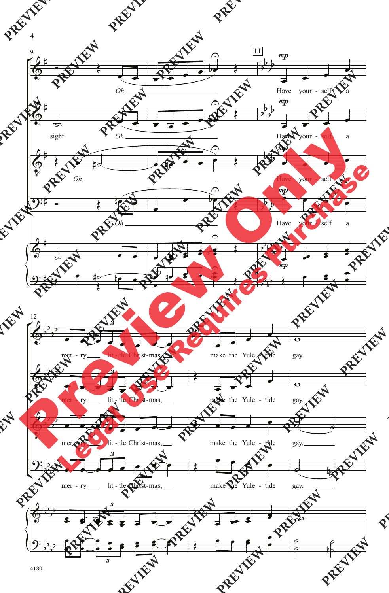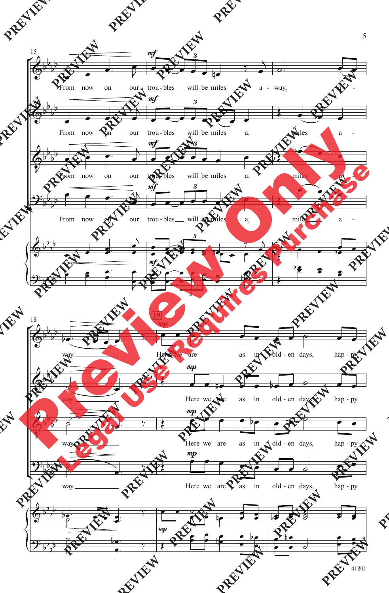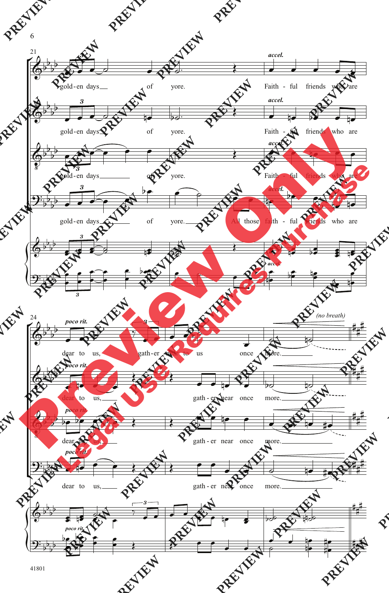

6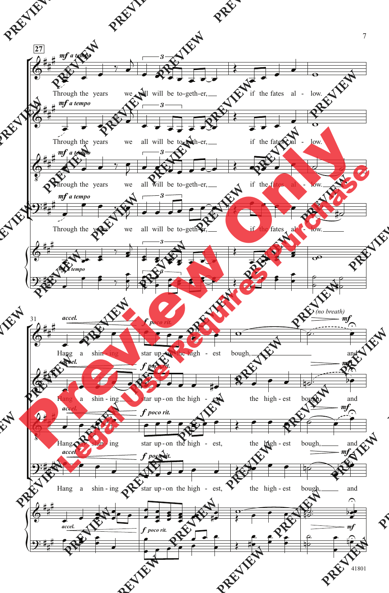

41801